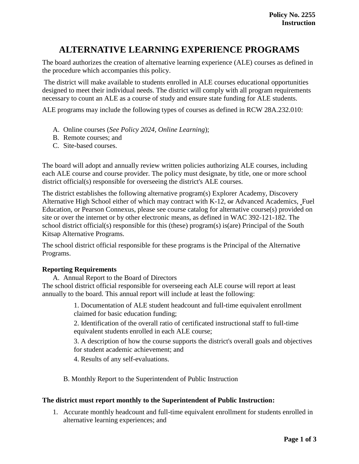# **ALTERNATIVE LEARNING EXPERIENCE PROGRAMS**

The board authorizes the creation of alternative learning experience (ALE) courses as defined in the procedure which accompanies this policy.

The district will make available to students enrolled in ALE courses educational opportunities designed to meet their individual needs. The district will comply with all program requirements necessary to count an ALE as a course of study and ensure state funding for ALE students.

ALE programs may include the following types of courses as defined in RCW 28A.232.010:

- A. Online courses (*See Policy 2024, Online Learning*);
- B. Remote courses; and
- C. Site-based courses.

The board will adopt and annually review written policies authorizing ALE courses, including each ALE course and course provider. The policy must designate, by title, one or more school district official(s) responsible for overseeing the district's ALE courses.

The district establishes the following alternative program(s) Explorer Academy, Discovery Alternative High School either of which may contract with K-12, or Advanced Academics, Fuel Education, or Pearson Connexus, please see course catalog for alternative course(s) provided on site or over the internet or by other electronic means, as defined in WAC 392-121-182. The school district official(s) responsible for this (these) program(s) is(are) Principal of the South Kitsap Alternative Programs.

The school district official responsible for these programs is the Principal of the Alternative Programs.

### **Reporting Requirements**

A. Annual Report to the Board of Directors

The school district official responsible for overseeing each ALE course will report at least annually to the board. This annual report will include at least the following:

> 1. Documentation of ALE student headcount and full-time equivalent enrollment claimed for basic education funding;

2. Identification of the overall ratio of certificated instructional staff to full-time equivalent students enrolled in each ALE course;

3. A description of how the course supports the district's overall goals and objectives for student academic achievement; and

4. Results of any self-evaluations.

B. Monthly Report to the Superintendent of Public Instruction

### **The district must report monthly to the Superintendent of Public Instruction:**

1. Accurate monthly headcount and full-time equivalent enrollment for students enrolled in alternative learning experiences; and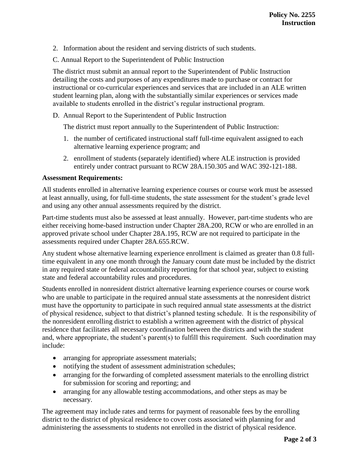- 2. Information about the resident and serving districts of such students.
- C. Annual Report to the Superintendent of Public Instruction

The district must submit an annual report to the Superintendent of Public Instruction detailing the costs and purposes of any expenditures made to purchase or contract for instructional or co-curricular experiences and services that are included in an ALE written student learning plan, along with the substantially similar experiences or services made available to students enrolled in the district's regular instructional program.

D. Annual Report to the Superintendent of Public Instruction

The district must report annually to the Superintendent of Public Instruction:

- 1. the number of certificated instructional staff full-time equivalent assigned to each alternative learning experience program; and
- 2. enrollment of students (separately identified) where ALE instruction is provided entirely under contract pursuant to RCW 28A.150.305 and WAC 392-121-188.

## **Assessment Requirements:**

All students enrolled in alternative learning experience courses or course work must be assessed at least annually, using, for full-time students, the state assessment for the student's grade level and using any other annual assessments required by the district.

Part-time students must also be assessed at least annually. However, part-time students who are either receiving home-based instruction under Chapter 28A.200, RCW or who are enrolled in an approved private school under Chapter 28A.195, RCW are not required to participate in the assessments required under Chapter 28A.655.RCW.

Any student whose alternative learning experience enrollment is claimed as greater than 0.8 fulltime equivalent in any one month through the January count date must be included by the district in any required state or federal accountability reporting for that school year, subject to existing state and federal accountability rules and procedures.

Students enrolled in nonresident district alternative learning experience courses or course work who are unable to participate in the required annual state assessments at the nonresident district must have the opportunity to participate in such required annual state assessments at the district of physical residence, subject to that district's planned testing schedule. It is the responsibility of the nonresident enrolling district to establish a written agreement with the district of physical residence that facilitates all necessary coordination between the districts and with the student and, where appropriate, the student's parent(s) to fulfill this requirement. Such coordination may include:

- arranging for appropriate assessment materials;
- notifying the student of assessment administration schedules;
- arranging for the forwarding of completed assessment materials to the enrolling district for submission for scoring and reporting; and
- arranging for any allowable testing accommodations, and other steps as may be necessary.

The agreement may include rates and terms for payment of reasonable fees by the enrolling district to the district of physical residence to cover costs associated with planning for and administering the assessments to students not enrolled in the district of physical residence.